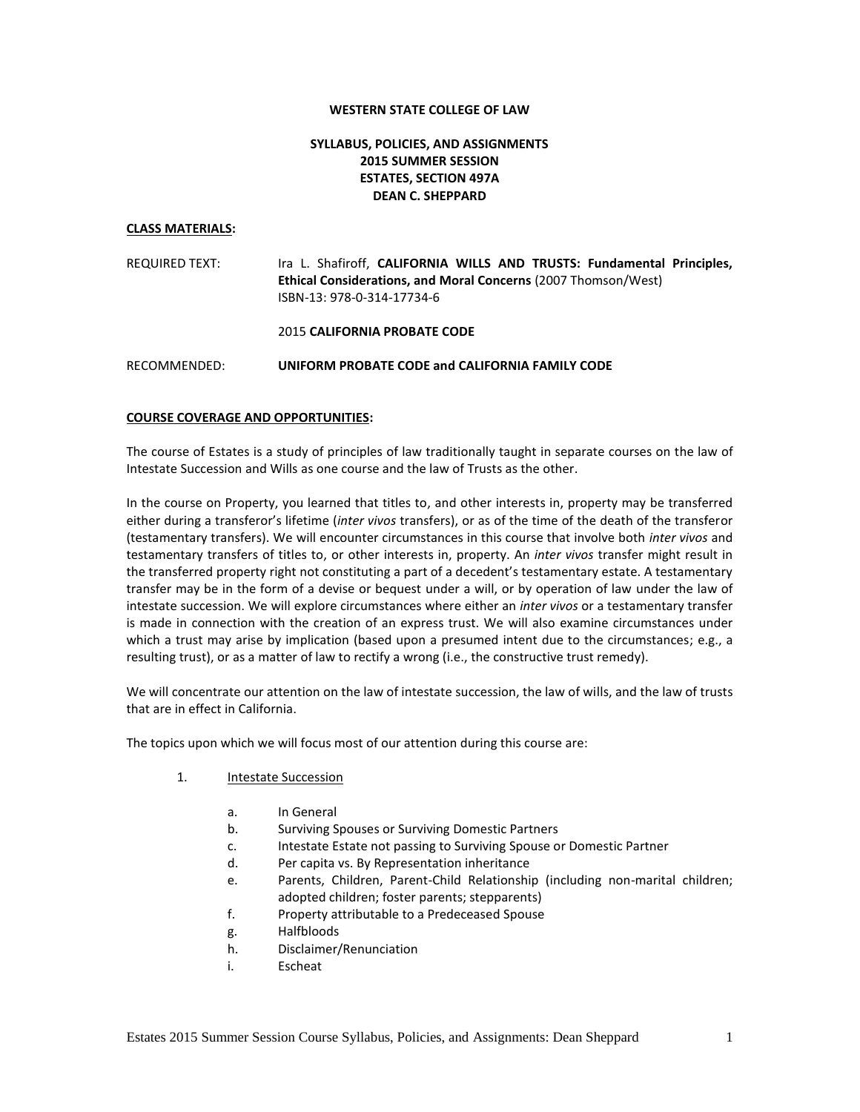#### **WESTERN STATE COLLEGE OF LAW**

# **SYLLABUS, POLICIES, AND ASSIGNMENTS 2015 SUMMER SESSION ESTATES, SECTION 497A DEAN C. SHEPPARD**

#### **CLASS MATERIALS:**

REQUIRED TEXT: Ira L. Shafiroff, **CALIFORNIA WILLS AND TRUSTS: Fundamental Principles, Ethical Considerations, and Moral Concerns** (2007 Thomson/West) ISBN-13: 978-0-314-17734-6

2015 **CALIFORNIA PROBATE CODE**

RECOMMENDED: **UNIFORM PROBATE CODE and CALIFORNIA FAMILY CODE**

#### **COURSE COVERAGE AND OPPORTUNITIES:**

The course of Estates is a study of principles of law traditionally taught in separate courses on the law of Intestate Succession and Wills as one course and the law of Trusts as the other.

In the course on Property, you learned that titles to, and other interests in, property may be transferred either during a transferor's lifetime (*inter vivos* transfers), or as of the time of the death of the transferor (testamentary transfers). We will encounter circumstances in this course that involve both *inter vivos* and testamentary transfers of titles to, or other interests in, property. An *inter vivos* transfer might result in the transferred property right not constituting a part of a decedent's testamentary estate. A testamentary transfer may be in the form of a devise or bequest under a will, or by operation of law under the law of intestate succession. We will explore circumstances where either an *inter vivos* or a testamentary transfer is made in connection with the creation of an express trust. We will also examine circumstances under which a trust may arise by implication (based upon a presumed intent due to the circumstances; e.g., a resulting trust), or as a matter of law to rectify a wrong (i.e., the constructive trust remedy).

We will concentrate our attention on the law of intestate succession, the law of wills, and the law of trusts that are in effect in California.

The topics upon which we will focus most of our attention during this course are:

- 1. Intestate Succession
	- a. In General
	- b. Surviving Spouses or Surviving Domestic Partners
	- c. Intestate Estate not passing to Surviving Spouse or Domestic Partner
	- d. Per capita vs. By Representation inheritance
	- e. Parents, Children, Parent-Child Relationship (including non-marital children; adopted children; foster parents; stepparents)
	- f. Property attributable to a Predeceased Spouse
	- g. Halfbloods
	- h. Disclaimer/Renunciation
	- i. Escheat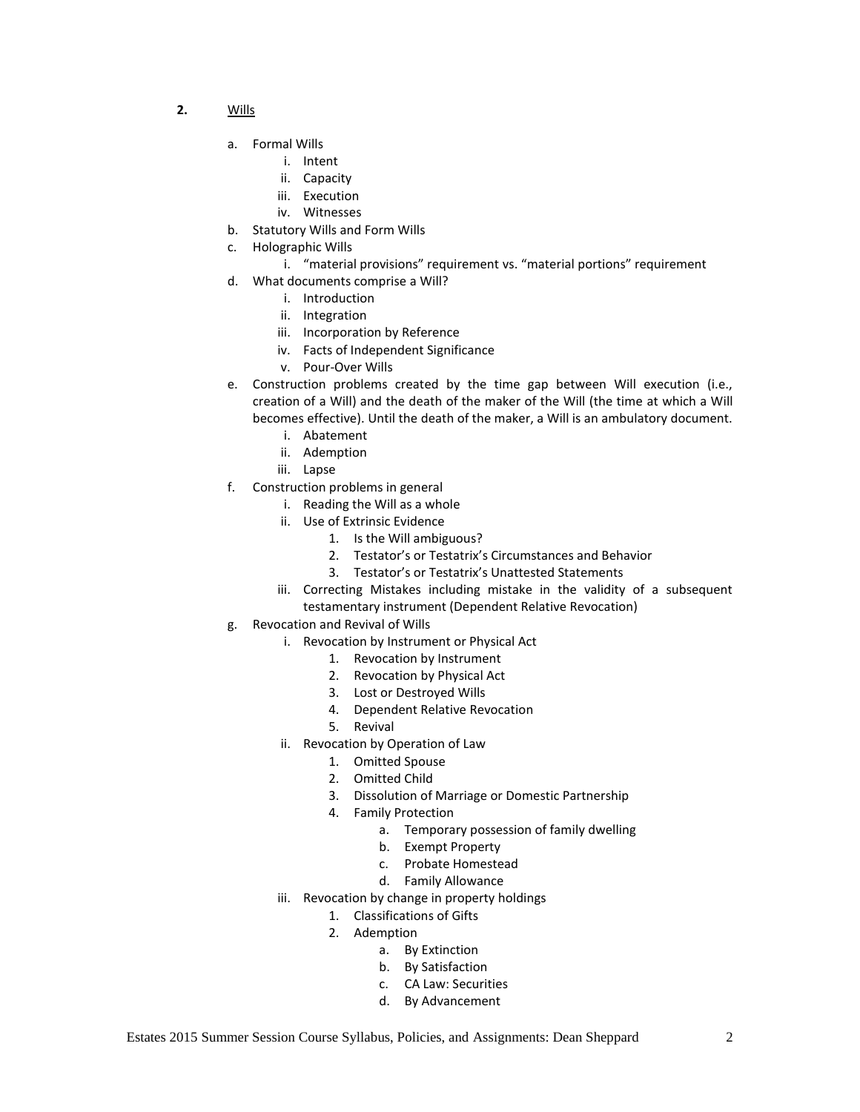- **2.** Wills
	- a. Formal Wills
		- i. Intent
			- ii. Capacity
			- iii. Execution
			- iv. Witnesses
	- b. Statutory Wills and Form Wills
	- c. Holographic Wills
		- i. "material provisions" requirement vs. "material portions" requirement
	- d. What documents comprise a Will?
		- i. Introduction
		- ii. Integration
		- iii. Incorporation by Reference
		- iv. Facts of Independent Significance
		- v. Pour-Over Wills
	- e. Construction problems created by the time gap between Will execution (i.e., creation of a Will) and the death of the maker of the Will (the time at which a Will becomes effective). Until the death of the maker, a Will is an ambulatory document.
		- i. Abatement
		- ii. Ademption
		- iii. Lapse
	- f. Construction problems in general
		- i. Reading the Will as a whole
		- ii. Use of Extrinsic Evidence
			- 1. Is the Will ambiguous?
			- 2. Testator's or Testatrix's Circumstances and Behavior
			- 3. Testator's or Testatrix's Unattested Statements
		- iii. Correcting Mistakes including mistake in the validity of a subsequent testamentary instrument (Dependent Relative Revocation)
	- g. Revocation and Revival of Wills
		- i. Revocation by Instrument or Physical Act
			- 1. Revocation by Instrument
			- 2. Revocation by Physical Act
			- 3. Lost or Destroyed Wills
			- 4. Dependent Relative Revocation
			- 5. Revival
			- ii. Revocation by Operation of Law
				- 1. Omitted Spouse
				- 2. Omitted Child
				- 3. Dissolution of Marriage or Domestic Partnership
				- 4. Family Protection
					- a. Temporary possession of family dwelling
					- b. Exempt Property
					- c. Probate Homestead
					- d. Family Allowance
			- iii. Revocation by change in property holdings
				- 1. Classifications of Gifts
				- 2. Ademption
					- a. By Extinction
					- b. By Satisfaction
					- c. CA Law: Securities
					- d. By Advancement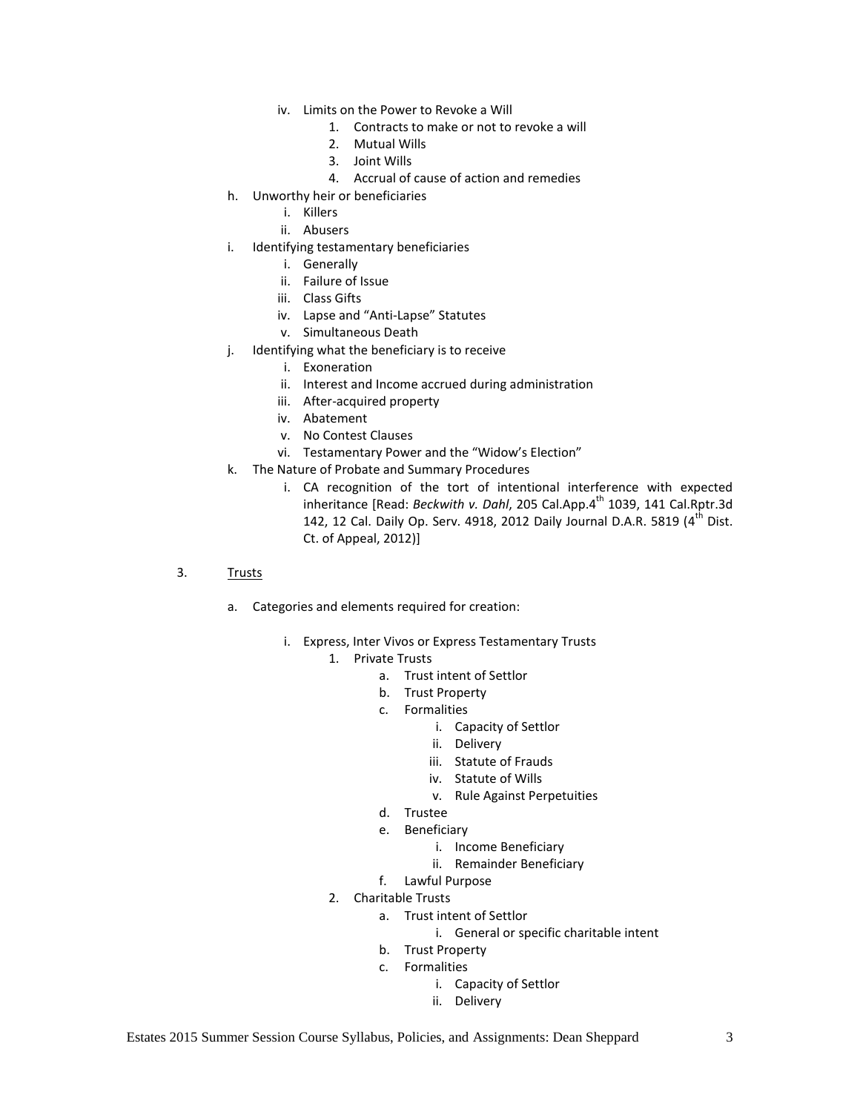- iv. Limits on the Power to Revoke a Will
	- 1. Contracts to make or not to revoke a will
	- 2. Mutual Wills
	- 3. Joint Wills
	- 4. Accrual of cause of action and remedies
- h. Unworthy heir or beneficiaries
	- i. Killers
	- ii. Abusers
- i. Identifying testamentary beneficiaries
	- i. Generally
	- ii. Failure of Issue
	- iii. Class Gifts
	- iv. Lapse and "Anti-Lapse" Statutes
	- v. Simultaneous Death
- j. Identifying what the beneficiary is to receive
	- i. Exoneration
	- ii. Interest and Income accrued during administration
	- iii. After-acquired property
	- iv. Abatement
	- v. No Contest Clauses
	- vi. Testamentary Power and the "Widow's Election"
- k. The Nature of Probate and Summary Procedures
	- i. CA recognition of the tort of intentional interference with expected inheritance [Read: *Beckwith v. Dahl,* 205 Cal.App.4<sup>th</sup> 1039, 141 Cal.Rptr.3d 142, 12 Cal. Daily Op. Serv. 4918, 2012 Daily Journal D.A.R. 5819 (4<sup>th</sup> Dist. Ct. of Appeal, 2012)]
- 3. Trusts
	- a. Categories and elements required for creation:
		- i. Express, Inter Vivos or Express Testamentary Trusts
			- 1. Private Trusts
				- a. Trust intent of Settlor
				- b. Trust Property
				- c. Formalities
					- i. Capacity of Settlor
					- ii. Delivery
					- iii. Statute of Frauds
					- iv. Statute of Wills
					- v. Rule Against Perpetuities
				- d. Trustee
				- e. Beneficiary
					- i. Income Beneficiary
					- ii. Remainder Beneficiary
				- f. Lawful Purpose
			- 2. Charitable Trusts
				- a. Trust intent of Settlor
					- i. General or specific charitable intent
				- b. Trust Property
				- c. Formalities
					- i. Capacity of Settlor
					- ii. Delivery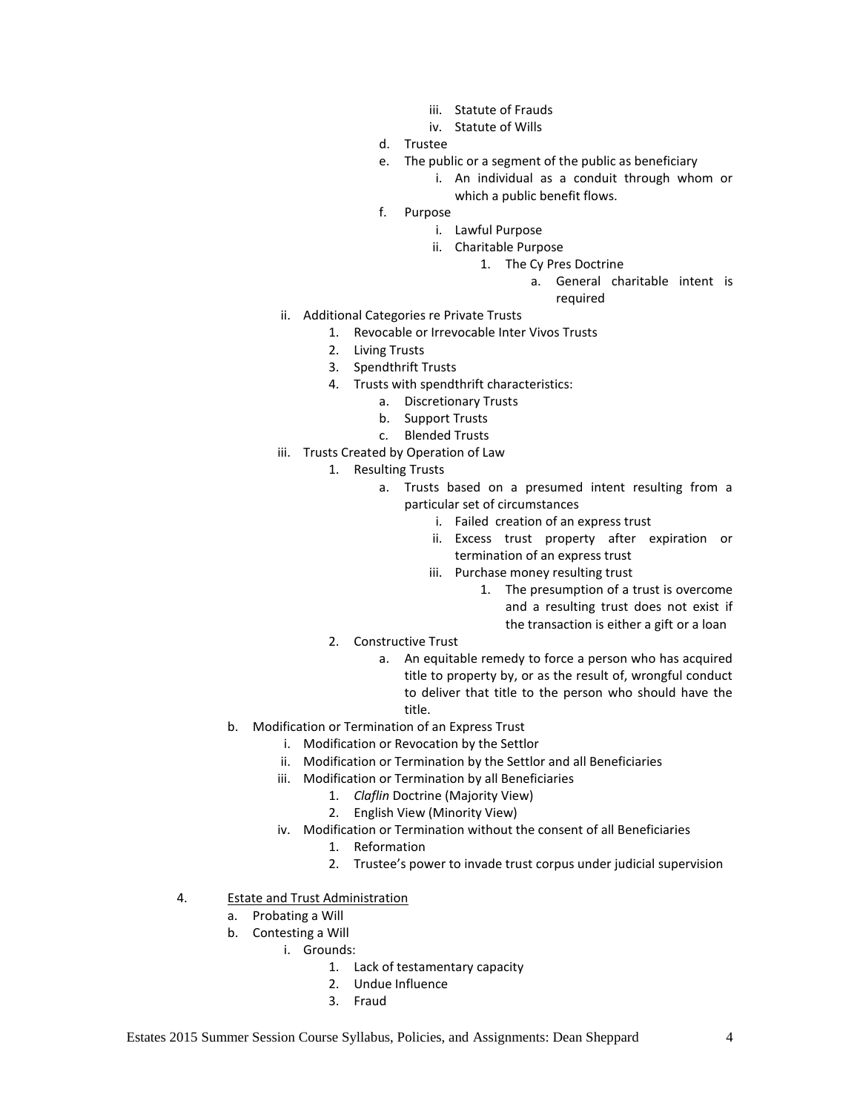- iii. Statute of Frauds
- iv. Statute of Wills
- d. Trustee
- e. The public or a segment of the public as beneficiary
	- i. An individual as a conduit through whom or which a public benefit flows.
- f. Purpose
	- i. Lawful Purpose
	- ii. Charitable Purpose
		- 1. The Cy Pres Doctrine
			- a. General charitable intent is

required

- ii. Additional Categories re Private Trusts
	- 1. Revocable or Irrevocable Inter Vivos Trusts
	- 2. Living Trusts
	- 3. Spendthrift Trusts
	- 4. Trusts with spendthrift characteristics:
		- a. Discretionary Trusts
		- b. Support Trusts
		- c. Blended Trusts
- iii. Trusts Created by Operation of Law
	- 1. Resulting Trusts
		- a. Trusts based on a presumed intent resulting from a particular set of circumstances
			- i. Failed creation of an express trust
			- ii. Excess trust property after expiration or termination of an express trust
			- iii. Purchase money resulting trust
				- 1. The presumption of a trust is overcome and a resulting trust does not exist if the transaction is either a gift or a loan
	- 2. Constructive Trust
		- a. An equitable remedy to force a person who has acquired title to property by, or as the result of, wrongful conduct to deliver that title to the person who should have the title.
- b. Modification or Termination of an Express Trust
	- i. Modification or Revocation by the Settlor
	- ii. Modification or Termination by the Settlor and all Beneficiaries
	- iii. Modification or Termination by all Beneficiaries
		- 1. *Claflin* Doctrine (Majority View)
		- 2. English View (Minority View)
	- iv. Modification or Termination without the consent of all Beneficiaries
		- 1. Reformation
		- 2. Trustee's power to invade trust corpus under judicial supervision
- 4. Estate and Trust Administration
	- a. Probating a Will
	- b. Contesting a Will
		- i. Grounds:
			- 1. Lack of testamentary capacity
			- 2. Undue Influence
			- 3. Fraud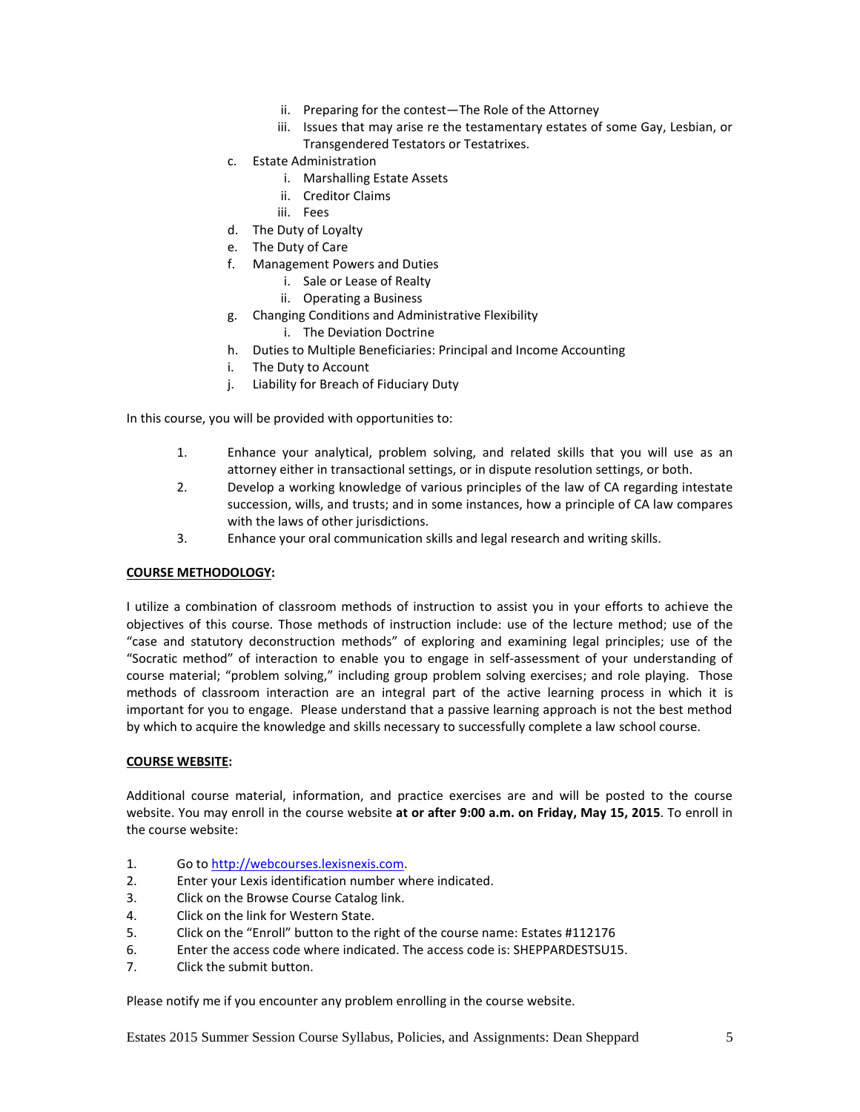- ii. Preparing for the contest—The Role of the Attorney
- iii. Issues that may arise re the testamentary estates of some Gay, Lesbian, or Transgendered Testators or Testatrixes.
- c. Estate Administration
	- i. Marshalling Estate Assets
	- ii. Creditor Claims
	- iii. Fees
- d. The Duty of Loyalty
- e. The Duty of Care
- f. Management Powers and Duties
	- i. Sale or Lease of Realty
	- ii. Operating a Business
- g. Changing Conditions and Administrative Flexibility
	- i. The Deviation Doctrine
- h. Duties to Multiple Beneficiaries: Principal and Income Accounting
- i. The Duty to Account
- j. Liability for Breach of Fiduciary Duty

In this course, you will be provided with opportunities to:

- 1. Enhance your analytical, problem solving, and related skills that you will use as an attorney either in transactional settings, or in dispute resolution settings, or both.
- 2. Develop a working knowledge of various principles of the law of CA regarding intestate succession, wills, and trusts; and in some instances, how a principle of CA law compares with the laws of other jurisdictions.
- 3. Enhance your oral communication skills and legal research and writing skills.

#### **COURSE METHODOLOGY:**

I utilize a combination of classroom methods of instruction to assist you in your efforts to achieve the objectives of this course. Those methods of instruction include: use of the lecture method; use of the "case and statutory deconstruction methods" of exploring and examining legal principles; use of the "Socratic method" of interaction to enable you to engage in self-assessment of your understanding of course material; "problem solving," including group problem solving exercises; and role playing. Those methods of classroom interaction are an integral part of the active learning process in which it is important for you to engage. Please understand that a passive learning approach is not the best method by which to acquire the knowledge and skills necessary to successfully complete a law school course.

#### **COURSE WEBSITE:**

Additional course material, information, and practice exercises are and will be posted to the course website. You may enroll in the course website **at or after 9:00 a.m. on Friday, May 15, 2015**. To enroll in the course website:

- 1. Go t[o http://webcourses.lexisnexis.com.](http://webcourses.lexisnexis.com/)
- 2. Enter your Lexis identification number where indicated.
- 3. Click on the Browse Course Catalog link.
- 4. Click on the link for Western State.
- 5. Click on the "Enroll" button to the right of the course name: Estates #112176
- 6. Enter the access code where indicated. The access code is: SHEPPARDESTSU15.
- 7. Click the submit button.

Please notify me if you encounter any problem enrolling in the course website.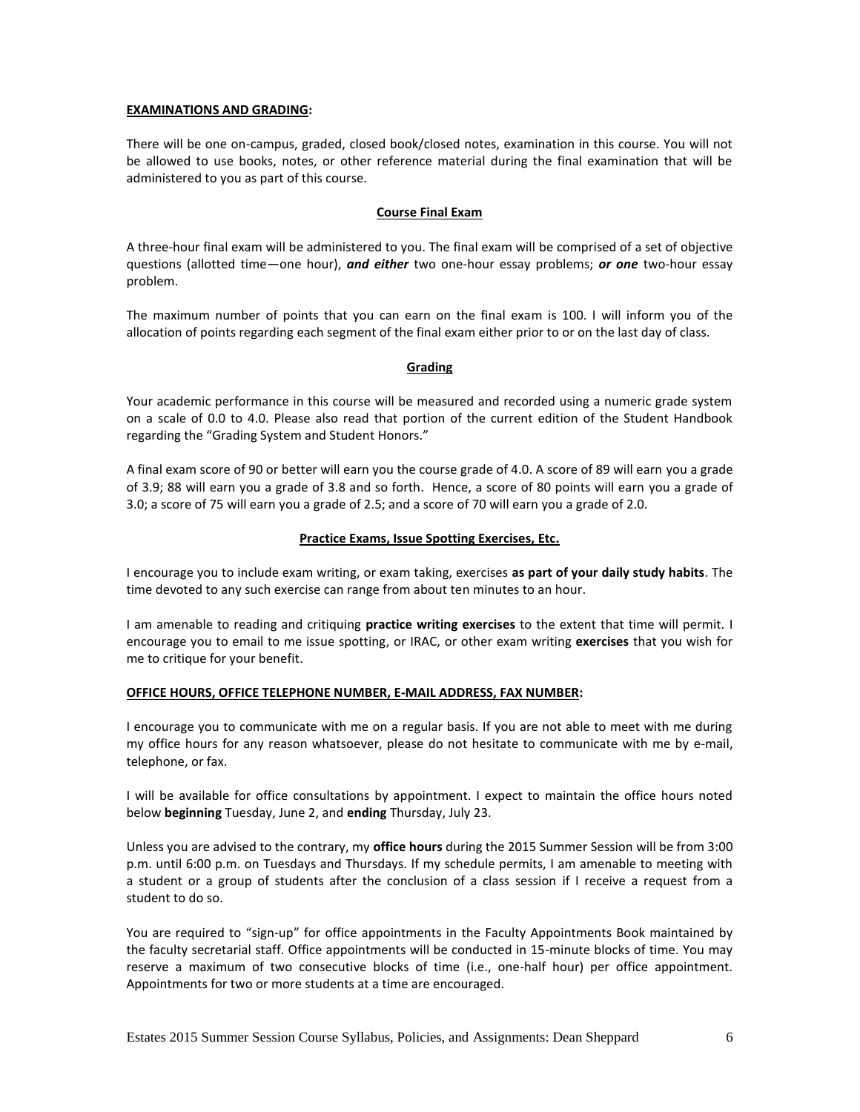## **EXAMINATIONS AND GRADING:**

There will be one on-campus, graded, closed book/closed notes, examination in this course. You will not be allowed to use books, notes, or other reference material during the final examination that will be administered to you as part of this course.

## **Course Final Exam**

A three-hour final exam will be administered to you. The final exam will be comprised of a set of objective questions (allotted time—one hour), *and either* two one-hour essay problems; *or one* two-hour essay problem.

The maximum number of points that you can earn on the final exam is 100. I will inform you of the allocation of points regarding each segment of the final exam either prior to or on the last day of class.

## **Grading**

Your academic performance in this course will be measured and recorded using a numeric grade system on a scale of 0.0 to 4.0. Please also read that portion of the current edition of the Student Handbook regarding the "Grading System and Student Honors."

A final exam score of 90 or better will earn you the course grade of 4.0. A score of 89 will earn you a grade of 3.9; 88 will earn you a grade of 3.8 and so forth. Hence, a score of 80 points will earn you a grade of 3.0; a score of 75 will earn you a grade of 2.5; and a score of 70 will earn you a grade of 2.0.

## **Practice Exams, Issue Spotting Exercises, Etc.**

I encourage you to include exam writing, or exam taking, exercises **as part of your daily study habits**. The time devoted to any such exercise can range from about ten minutes to an hour.

I am amenable to reading and critiquing **practice writing exercises** to the extent that time will permit. I encourage you to email to me issue spotting, or IRAC, or other exam writing **exercises** that you wish for me to critique for your benefit.

# **OFFICE HOURS, OFFICE TELEPHONE NUMBER, E-MAIL ADDRESS, FAX NUMBER:**

I encourage you to communicate with me on a regular basis. If you are not able to meet with me during my office hours for any reason whatsoever, please do not hesitate to communicate with me by e-mail, telephone, or fax.

I will be available for office consultations by appointment. I expect to maintain the office hours noted below **beginning** Tuesday, June 2, and **ending** Thursday, July 23.

Unless you are advised to the contrary, my **office hours** during the 2015 Summer Session will be from 3:00 p.m. until 6:00 p.m. on Tuesdays and Thursdays. If my schedule permits, I am amenable to meeting with a student or a group of students after the conclusion of a class session if I receive a request from a student to do so.

You are required to "sign-up" for office appointments in the Faculty Appointments Book maintained by the faculty secretarial staff. Office appointments will be conducted in 15-minute blocks of time. You may reserve a maximum of two consecutive blocks of time (i.e., one-half hour) per office appointment. Appointments for two or more students at a time are encouraged.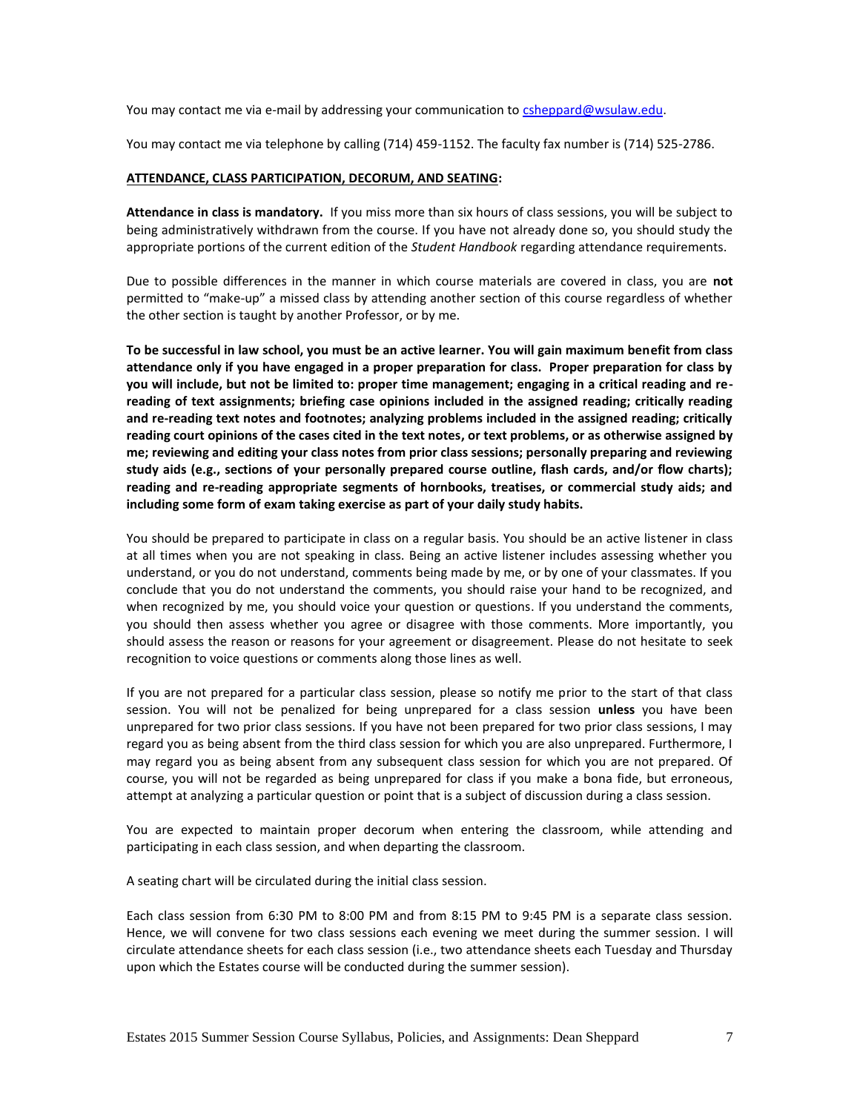You may contact me via e-mail by addressing your communication to [csheppard@wsulaw.edu.](mailto:csheppard@wsulaw.edu)

You may contact me via telephone by calling (714) 459-1152. The faculty fax number is (714) 525-2786.

#### **ATTENDANCE, CLASS PARTICIPATION, DECORUM, AND SEATING:**

**Attendance in class is mandatory.** If you miss more than six hours of class sessions, you will be subject to being administratively withdrawn from the course. If you have not already done so, you should study the appropriate portions of the current edition of the *Student Handbook* regarding attendance requirements.

Due to possible differences in the manner in which course materials are covered in class, you are **not** permitted to "make-up" a missed class by attending another section of this course regardless of whether the other section is taught by another Professor, or by me.

**To be successful in law school, you must be an active learner. You will gain maximum benefit from class attendance only if you have engaged in a proper preparation for class. Proper preparation for class by you will include, but not be limited to: proper time management; engaging in a critical reading and rereading of text assignments; briefing case opinions included in the assigned reading; critically reading and re-reading text notes and footnotes; analyzing problems included in the assigned reading; critically reading court opinions of the cases cited in the text notes, or text problems, or as otherwise assigned by me; reviewing and editing your class notes from prior class sessions; personally preparing and reviewing study aids (e.g., sections of your personally prepared course outline, flash cards, and/or flow charts); reading and re-reading appropriate segments of hornbooks, treatises, or commercial study aids; and including some form of exam taking exercise as part of your daily study habits.**

You should be prepared to participate in class on a regular basis. You should be an active listener in class at all times when you are not speaking in class. Being an active listener includes assessing whether you understand, or you do not understand, comments being made by me, or by one of your classmates. If you conclude that you do not understand the comments, you should raise your hand to be recognized, and when recognized by me, you should voice your question or questions. If you understand the comments, you should then assess whether you agree or disagree with those comments. More importantly, you should assess the reason or reasons for your agreement or disagreement. Please do not hesitate to seek recognition to voice questions or comments along those lines as well.

If you are not prepared for a particular class session, please so notify me prior to the start of that class session. You will not be penalized for being unprepared for a class session **unless** you have been unprepared for two prior class sessions. If you have not been prepared for two prior class sessions, I may regard you as being absent from the third class session for which you are also unprepared. Furthermore, I may regard you as being absent from any subsequent class session for which you are not prepared. Of course, you will not be regarded as being unprepared for class if you make a bona fide, but erroneous, attempt at analyzing a particular question or point that is a subject of discussion during a class session.

You are expected to maintain proper decorum when entering the classroom, while attending and participating in each class session, and when departing the classroom.

A seating chart will be circulated during the initial class session.

Each class session from 6:30 PM to 8:00 PM and from 8:15 PM to 9:45 PM is a separate class session. Hence, we will convene for two class sessions each evening we meet during the summer session. I will circulate attendance sheets for each class session (i.e., two attendance sheets each Tuesday and Thursday upon which the Estates course will be conducted during the summer session).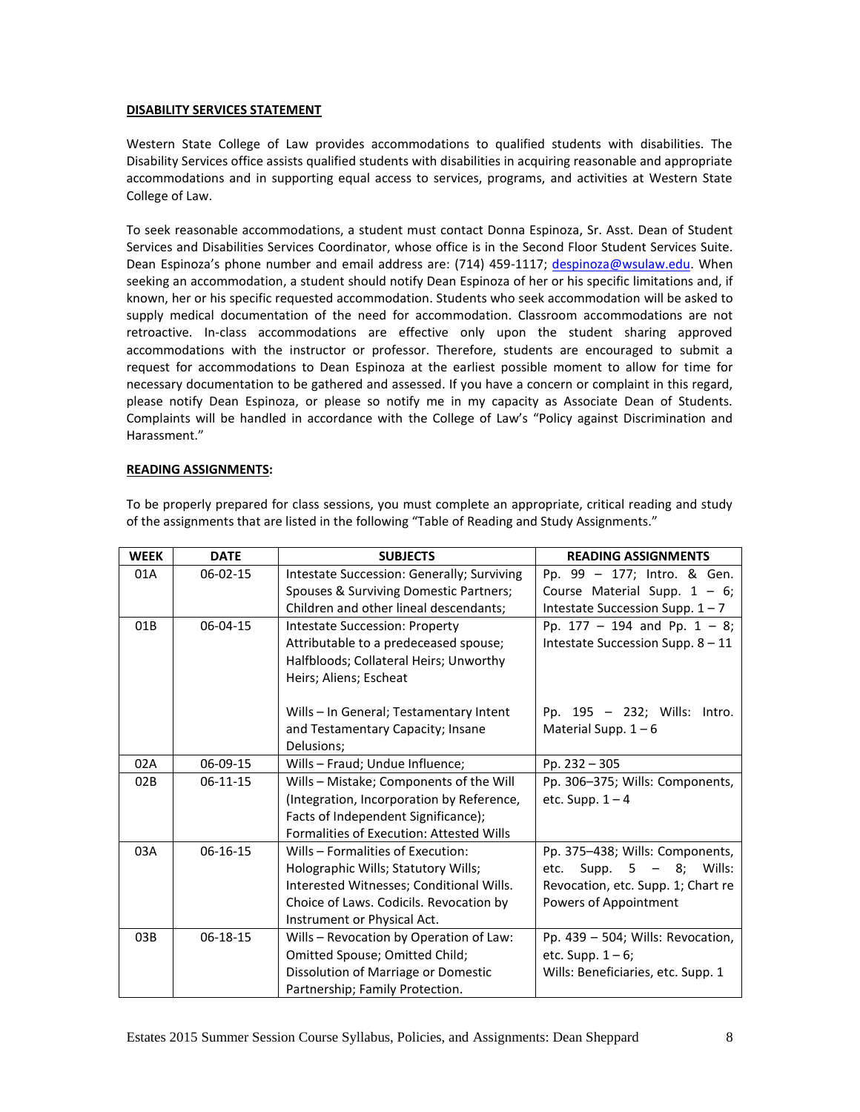## **DISABILITY SERVICES STATEMENT**

Western State College of Law provides accommodations to qualified students with disabilities. The Disability Services office assists qualified students with disabilities in acquiring reasonable and appropriate accommodations and in supporting equal access to services, programs, and activities at Western State College of Law.

To seek reasonable accommodations, a student must contact Donna Espinoza, Sr. Asst. Dean of Student Services and Disabilities Services Coordinator, whose office is in the Second Floor Student Services Suite. Dean Espinoza's phone number and email address are: (714) 459-1117; [despinoza@wsulaw.edu.](mailto:despinoza@wsulaw.edu) When seeking an accommodation, a student should notify Dean Espinoza of her or his specific limitations and, if known, her or his specific requested accommodation. Students who seek accommodation will be asked to supply medical documentation of the need for accommodation. Classroom accommodations are not retroactive. In-class accommodations are effective only upon the student sharing approved accommodations with the instructor or professor. Therefore, students are encouraged to submit a request for accommodations to Dean Espinoza at the earliest possible moment to allow for time for necessary documentation to be gathered and assessed. If you have a concern or complaint in this regard, please notify Dean Espinoza, or please so notify me in my capacity as Associate Dean of Students. Complaints will be handled in accordance with the College of Law's "Policy against Discrimination and Harassment."

## **READING ASSIGNMENTS:**

| <b>WEEK</b> | <b>DATE</b>    | <b>SUBJECTS</b>                                 | <b>READING ASSIGNMENTS</b>         |
|-------------|----------------|-------------------------------------------------|------------------------------------|
| 01A         | $06 - 02 - 15$ | Intestate Succession: Generally; Surviving      | Pp. 99 - 177; Intro. & Gen.        |
|             |                | Spouses & Surviving Domestic Partners;          | Course Material Supp. $1 - 6$ ;    |
|             |                | Children and other lineal descendants;          | Intestate Succession Supp. $1 - 7$ |
| 01B         | $06 - 04 - 15$ | <b>Intestate Succession: Property</b>           | Pp. $177 - 194$ and Pp. $1 - 8$ ;  |
|             |                | Attributable to a predeceased spouse;           | Intestate Succession Supp. 8 - 11  |
|             |                | Halfbloods; Collateral Heirs; Unworthy          |                                    |
|             |                | Heirs; Aliens; Escheat                          |                                    |
|             |                |                                                 |                                    |
|             |                | Wills – In General; Testamentary Intent         | Pp. $195 - 232$ ; Wills: Intro.    |
|             |                | and Testamentary Capacity; Insane<br>Delusions; | Material Supp. $1 - 6$             |
| 02A         | 06-09-15       |                                                 |                                    |
|             |                | Wills - Fraud; Undue Influence;                 | Pp. $232 - 305$                    |
| 02B         | $06-11-15$     | Wills - Mistake; Components of the Will         | Pp. 306-375; Wills: Components,    |
|             |                | (Integration, Incorporation by Reference,       | etc. Supp. $1 - 4$                 |
|             |                | Facts of Independent Significance);             |                                    |
|             |                | Formalities of Execution: Attested Wills        |                                    |
| 03A         | $06-16-15$     | Wills - Formalities of Execution:               | Pp. 375-438; Wills: Components,    |
|             |                | Holographic Wills; Statutory Wills;             | Supp. $5 - 8$ ; Wills:<br>etc.     |
|             |                | Interested Witnesses; Conditional Wills.        | Revocation, etc. Supp. 1; Chart re |
|             |                | Choice of Laws. Codicils. Revocation by         | Powers of Appointment              |
|             |                | Instrument or Physical Act.                     |                                    |
| 03B         | $06 - 18 - 15$ | Wills - Revocation by Operation of Law:         | Pp. 439 - 504; Wills: Revocation,  |
|             |                | Omitted Spouse; Omitted Child;                  | etc. Supp. $1-6$ ;                 |
|             |                | Dissolution of Marriage or Domestic             | Wills: Beneficiaries, etc. Supp. 1 |
|             |                | Partnership; Family Protection.                 |                                    |

To be properly prepared for class sessions, you must complete an appropriate, critical reading and study of the assignments that are listed in the following "Table of Reading and Study Assignments."